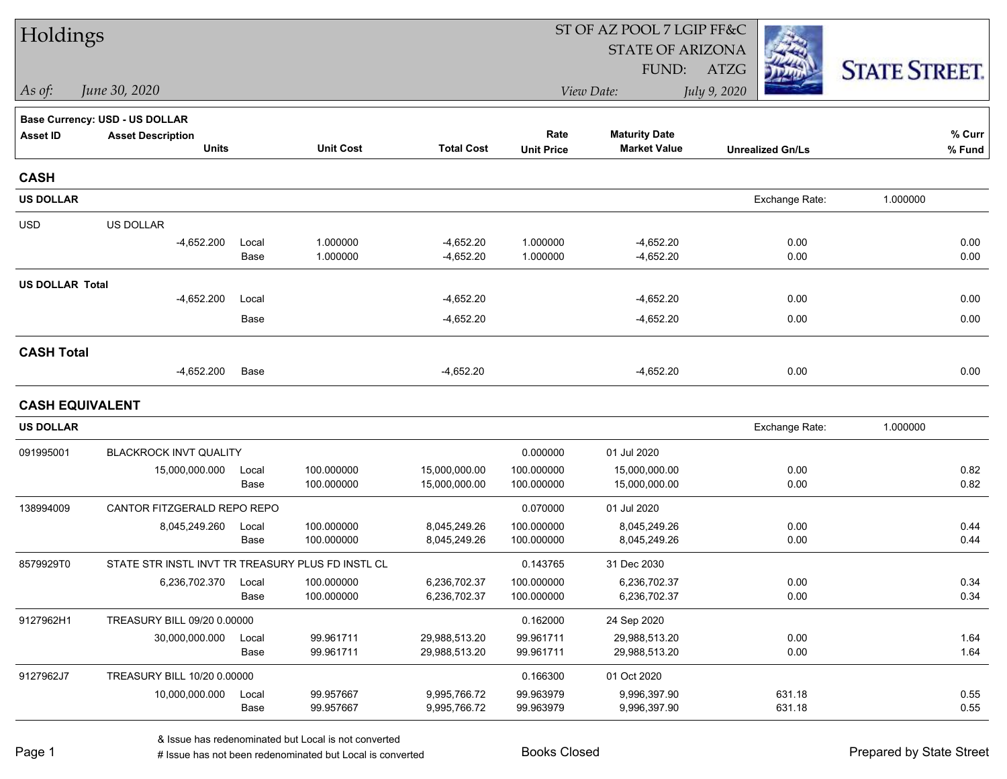| Holdings               |                                                   |               |                          |                              |                          | ST OF AZ POOL 7 LGIP FF&C                   |                         |                      |  |
|------------------------|---------------------------------------------------|---------------|--------------------------|------------------------------|--------------------------|---------------------------------------------|-------------------------|----------------------|--|
|                        |                                                   |               |                          |                              |                          | <b>STATE OF ARIZONA</b>                     |                         |                      |  |
|                        |                                                   |               |                          |                              |                          | FUND:                                       | ATZG                    | <b>STATE STREET.</b> |  |
| As of:                 | June 30, 2020                                     |               |                          |                              |                          | View Date:                                  | July 9, 2020            |                      |  |
|                        | <b>Base Currency: USD - US DOLLAR</b>             |               |                          |                              |                          |                                             |                         |                      |  |
| <b>Asset ID</b>        | <b>Asset Description</b><br><b>Units</b>          |               | <b>Unit Cost</b>         | <b>Total Cost</b>            | Rate                     | <b>Maturity Date</b><br><b>Market Value</b> |                         | % Curr               |  |
|                        |                                                   |               |                          |                              | <b>Unit Price</b>        |                                             | <b>Unrealized Gn/Ls</b> | % Fund               |  |
| <b>CASH</b>            |                                                   |               |                          |                              |                          |                                             |                         |                      |  |
| <b>US DOLLAR</b>       |                                                   |               |                          |                              |                          |                                             | Exchange Rate:          | 1.000000             |  |
| <b>USD</b>             | US DOLLAR                                         |               |                          |                              |                          |                                             |                         |                      |  |
|                        | $-4,652.200$                                      | Local         | 1.000000                 | $-4,652.20$                  | 1.000000                 | $-4,652.20$                                 | 0.00                    | 0.00                 |  |
|                        |                                                   | Base          | 1.000000                 | $-4,652.20$                  | 1.000000                 | $-4,652.20$                                 | 0.00                    | 0.00                 |  |
| <b>US DOLLAR Total</b> |                                                   |               |                          |                              |                          |                                             |                         |                      |  |
|                        | $-4,652.200$                                      | Local         |                          | $-4,652.20$                  |                          | $-4,652.20$                                 | 0.00                    | 0.00                 |  |
|                        |                                                   | Base          |                          | $-4,652.20$                  |                          | $-4,652.20$                                 | 0.00                    | 0.00                 |  |
| <b>CASH Total</b>      |                                                   |               |                          |                              |                          |                                             |                         |                      |  |
|                        | $-4,652.200$                                      | Base          |                          | $-4,652.20$                  |                          | $-4,652.20$                                 | 0.00                    | 0.00                 |  |
| <b>CASH EQUIVALENT</b> |                                                   |               |                          |                              |                          |                                             |                         |                      |  |
| <b>US DOLLAR</b>       |                                                   |               |                          |                              |                          |                                             | Exchange Rate:          | 1.000000             |  |
| 091995001              | <b>BLACKROCK INVT QUALITY</b>                     |               |                          |                              | 0.000000                 | 01 Jul 2020                                 |                         |                      |  |
|                        | 15,000,000.000                                    | Local         | 100.000000               | 15,000,000.00                | 100.000000               | 15,000,000.00                               | 0.00                    | 0.82                 |  |
|                        |                                                   | Base          | 100.000000               | 15,000,000.00                | 100.000000               | 15,000,000.00                               | 0.00                    | 0.82                 |  |
| 138994009              | CANTOR FITZGERALD REPO REPO                       |               |                          |                              | 0.070000                 | 01 Jul 2020                                 |                         |                      |  |
|                        | 8,045,249.260                                     | Local         | 100.000000               | 8,045,249.26                 | 100.000000               | 8,045,249.26                                | 0.00                    | 0.44                 |  |
|                        |                                                   | Base          | 100.000000               | 8,045,249.26                 | 100.000000               | 8,045,249.26                                | 0.00                    | 0.44                 |  |
| 8579929T0              | STATE STR INSTL INVT TR TREASURY PLUS FD INSTL CL |               |                          |                              | 0.143765                 | 31 Dec 2030                                 |                         |                      |  |
|                        | 6,236,702.370                                     | Local<br>Base | 100.000000<br>100.000000 | 6,236,702.37<br>6,236,702.37 | 100.000000<br>100.000000 | 6,236,702.37<br>6,236,702.37                | 0.00<br>0.00            | 0.34<br>0.34         |  |
|                        |                                                   |               |                          |                              |                          |                                             |                         |                      |  |
| 9127962H1              | TREASURY BILL 09/20 0.00000<br>30,000,000.000     | Local         | 99.961711                | 29,988,513.20                | 0.162000<br>99.961711    | 24 Sep 2020<br>29,988,513.20                | 0.00                    | 1.64                 |  |
|                        |                                                   | Base          | 99.961711                | 29,988,513.20                | 99.961711                | 29,988,513.20                               | 0.00                    | 1.64                 |  |
| 9127962J7              | TREASURY BILL 10/20 0.00000                       |               |                          |                              | 0.166300                 | 01 Oct 2020                                 |                         |                      |  |
|                        | 10,000,000.000                                    | Local         | 99.957667                | 9,995,766.72                 | 99.963979                | 9,996,397.90                                | 631.18                  | 0.55                 |  |
|                        |                                                   | Base          | 99.957667                | 9,995,766.72                 | 99.963979                | 9,996,397.90                                | 631.18                  | 0.55                 |  |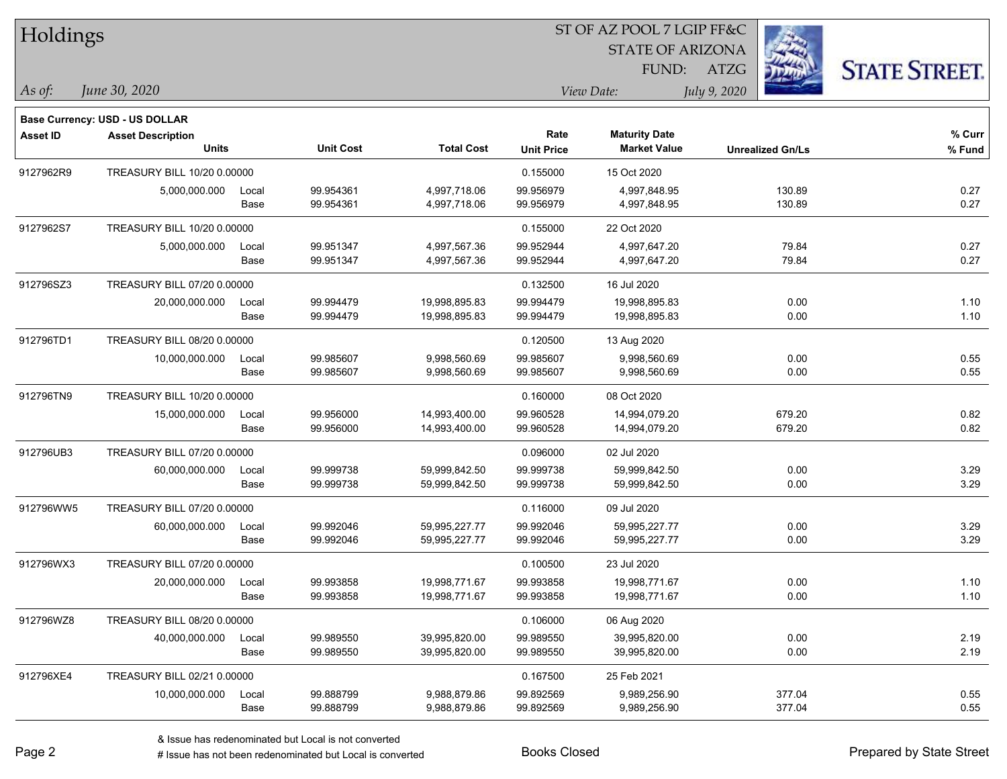| Holdings        |                                       |       |                  |                   |                   | ST OF AZ POOL 7 LGIP FF&C |                         |                      |
|-----------------|---------------------------------------|-------|------------------|-------------------|-------------------|---------------------------|-------------------------|----------------------|
|                 |                                       |       |                  |                   |                   | <b>STATE OF ARIZONA</b>   |                         |                      |
|                 |                                       |       |                  |                   |                   | FUND:                     | <b>ATZG</b>             | <b>STATE STREET.</b> |
| As of:          | June 30, 2020                         |       |                  |                   |                   | View Date:                | July 9, 2020            |                      |
|                 | <b>Base Currency: USD - US DOLLAR</b> |       |                  |                   |                   |                           |                         |                      |
| <b>Asset ID</b> | <b>Asset Description</b>              |       |                  |                   | Rate              | <b>Maturity Date</b>      |                         | % Curr               |
|                 | <b>Units</b>                          |       | <b>Unit Cost</b> | <b>Total Cost</b> | <b>Unit Price</b> | <b>Market Value</b>       | <b>Unrealized Gn/Ls</b> | % Fund               |
| 9127962R9       | TREASURY BILL 10/20 0.00000           |       |                  |                   | 0.155000          | 15 Oct 2020               |                         |                      |
|                 | 5,000,000.000                         | Local | 99.954361        | 4,997,718.06      | 99.956979         | 4,997,848.95              | 130.89                  | 0.27                 |
|                 |                                       | Base  | 99.954361        | 4,997,718.06      | 99.956979         | 4,997,848.95              | 130.89                  | 0.27                 |
| 9127962S7       | TREASURY BILL 10/20 0.00000           |       |                  |                   | 0.155000          | 22 Oct 2020               |                         |                      |
|                 | 5,000,000.000                         | Local | 99.951347        | 4,997,567.36      | 99.952944         | 4,997,647.20              | 79.84                   | 0.27                 |
|                 |                                       | Base  | 99.951347        | 4,997,567.36      | 99.952944         | 4,997,647.20              | 79.84                   | 0.27                 |
| 912796SZ3       | TREASURY BILL 07/20 0.00000           |       |                  |                   | 0.132500          | 16 Jul 2020               |                         |                      |
|                 | 20,000,000.000                        | Local | 99.994479        | 19,998,895.83     | 99.994479         | 19,998,895.83             | 0.00                    | 1.10                 |
|                 |                                       | Base  | 99.994479        | 19,998,895.83     | 99.994479         | 19,998,895.83             | 0.00                    | 1.10                 |
| 912796TD1       | TREASURY BILL 08/20 0.00000           |       |                  |                   | 0.120500          | 13 Aug 2020               |                         |                      |
|                 | 10,000,000.000                        | Local | 99.985607        | 9,998,560.69      | 99.985607         | 9,998,560.69              | 0.00                    | 0.55                 |
|                 |                                       | Base  | 99.985607        | 9,998,560.69      | 99.985607         | 9,998,560.69              | 0.00                    | 0.55                 |
| 912796TN9       | TREASURY BILL 10/20 0.00000           |       |                  |                   | 0.160000          | 08 Oct 2020               |                         |                      |
|                 | 15,000,000.000                        | Local | 99.956000        | 14,993,400.00     | 99.960528         | 14,994,079.20             | 679.20                  | 0.82                 |
|                 |                                       | Base  | 99.956000        | 14,993,400.00     | 99.960528         | 14,994,079.20             | 679.20                  | 0.82                 |
| 912796UB3       | TREASURY BILL 07/20 0.00000           |       |                  |                   | 0.096000          | 02 Jul 2020               |                         |                      |
|                 | 60,000,000.000                        | Local | 99.999738        | 59,999,842.50     | 99.999738         | 59,999,842.50             | 0.00                    | 3.29                 |
|                 |                                       | Base  | 99.999738        | 59,999,842.50     | 99.999738         | 59,999,842.50             | 0.00                    | 3.29                 |
| 912796WW5       | TREASURY BILL 07/20 0.00000           |       |                  |                   | 0.116000          | 09 Jul 2020               |                         |                      |
|                 | 60,000,000.000                        | Local | 99.992046        | 59,995,227.77     | 99.992046         | 59,995,227.77             | 0.00                    | 3.29                 |
|                 |                                       | Base  | 99.992046        | 59,995,227.77     | 99.992046         | 59,995,227.77             | 0.00                    | 3.29                 |
| 912796WX3       | TREASURY BILL 07/20 0.00000           |       |                  |                   | 0.100500          | 23 Jul 2020               |                         |                      |
|                 | 20,000,000.000                        | Local | 99.993858        | 19,998,771.67     | 99.993858         | 19,998,771.67             | 0.00                    | 1.10                 |
|                 |                                       | Base  | 99.993858        | 19,998,771.67     | 99.993858         | 19,998,771.67             | 0.00                    | 1.10                 |
| 912796WZ8       | TREASURY BILL 08/20 0.00000           |       |                  |                   | 0.106000          | 06 Aug 2020               |                         |                      |
|                 | 40,000,000.000                        | Local | 99.989550        | 39,995,820.00     | 99.989550         | 39,995,820.00             | 0.00                    | 2.19                 |
|                 |                                       | Base  | 99.989550        | 39,995,820.00     | 99.989550         | 39,995,820.00             | 0.00                    | 2.19                 |
| 912796XE4       | TREASURY BILL 02/21 0.00000           |       |                  |                   | 0.167500          | 25 Feb 2021               |                         |                      |
|                 | 10,000,000.000                        | Local | 99.888799        | 9,988,879.86      | 99.892569         | 9,989,256.90              | 377.04                  | 0.55                 |
|                 |                                       | Base  | 99.888799        | 9,988,879.86      | 99.892569         | 9,989,256.90              | 377.04                  | 0.55                 |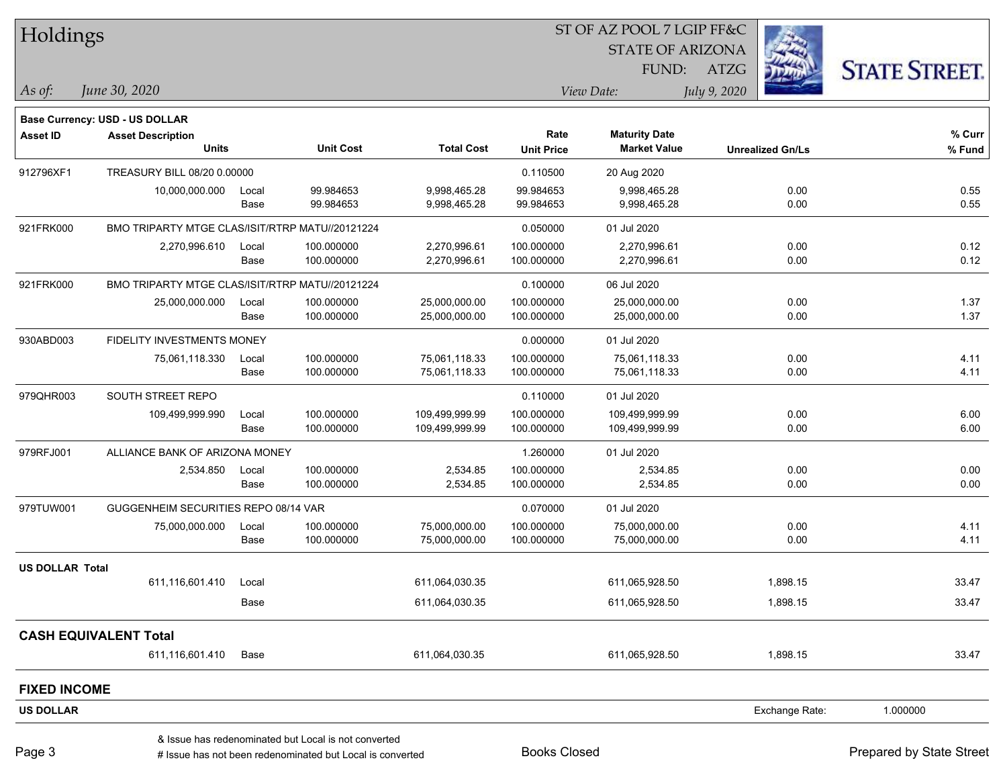| Holdings               |                                                 |       |                                                           |                   |                     | ST OF AZ POOL 7 LGIP FF&C |                         |                          |
|------------------------|-------------------------------------------------|-------|-----------------------------------------------------------|-------------------|---------------------|---------------------------|-------------------------|--------------------------|
|                        |                                                 |       |                                                           |                   |                     | <b>STATE OF ARIZONA</b>   |                         |                          |
|                        |                                                 |       |                                                           |                   |                     | FUND:                     | ATZG                    | <b>STATE STREET.</b>     |
| As of:                 | June 30, 2020                                   |       |                                                           |                   |                     | View Date:                | July 9, 2020            |                          |
|                        | Base Currency: USD - US DOLLAR                  |       |                                                           |                   |                     |                           |                         |                          |
| <b>Asset ID</b>        | <b>Asset Description</b>                        |       |                                                           |                   | Rate                | <b>Maturity Date</b>      |                         | % Curr                   |
|                        | <b>Units</b>                                    |       | <b>Unit Cost</b>                                          | <b>Total Cost</b> | <b>Unit Price</b>   | <b>Market Value</b>       | <b>Unrealized Gn/Ls</b> | % Fund                   |
| 912796XF1              | TREASURY BILL 08/20 0.00000                     |       |                                                           |                   | 0.110500            | 20 Aug 2020               |                         |                          |
|                        | 10,000,000.000                                  | Local | 99.984653                                                 | 9,998,465.28      | 99.984653           | 9,998,465.28              | 0.00                    | 0.55                     |
|                        |                                                 | Base  | 99.984653                                                 | 9,998,465.28      | 99.984653           | 9,998,465.28              | 0.00                    | 0.55                     |
| 921FRK000              | BMO TRIPARTY MTGE CLAS/ISIT/RTRP MATU//20121224 |       |                                                           |                   | 0.050000            | 01 Jul 2020               |                         |                          |
|                        | 2,270,996.610                                   | Local | 100.000000                                                | 2,270,996.61      | 100.000000          | 2,270,996.61              | 0.00                    | 0.12                     |
|                        |                                                 | Base  | 100.000000                                                | 2,270,996.61      | 100.000000          | 2,270,996.61              | 0.00                    | 0.12                     |
| 921FRK000              | BMO TRIPARTY MTGE CLAS/ISIT/RTRP MATU//20121224 |       |                                                           |                   | 0.100000            | 06 Jul 2020               |                         |                          |
|                        | 25,000,000.000                                  | Local | 100.000000                                                | 25,000,000.00     | 100.000000          | 25,000,000.00             | 0.00                    | 1.37                     |
|                        |                                                 | Base  | 100.000000                                                | 25,000,000.00     | 100.000000          | 25,000,000.00             | 0.00                    | 1.37                     |
| 930ABD003              | <b>FIDELITY INVESTMENTS MONEY</b>               |       |                                                           |                   | 0.000000            | 01 Jul 2020               |                         |                          |
|                        | 75,061,118.330                                  | Local | 100.000000                                                | 75,061,118.33     | 100.000000          | 75,061,118.33             | 0.00                    | 4.11                     |
|                        |                                                 | Base  | 100.000000                                                | 75,061,118.33     | 100.000000          | 75,061,118.33             | 0.00                    | 4.11                     |
| 979QHR003              | SOUTH STREET REPO                               |       |                                                           |                   | 0.110000            | 01 Jul 2020               |                         |                          |
|                        | 109,499,999.990                                 | Local | 100.000000                                                | 109,499,999.99    | 100.000000          | 109,499,999.99            | 0.00                    | 6.00                     |
|                        |                                                 | Base  | 100.000000                                                | 109,499,999.99    | 100.000000          | 109,499,999.99            | 0.00                    | 6.00                     |
| 979RFJ001              | ALLIANCE BANK OF ARIZONA MONEY                  |       |                                                           |                   | 1.260000            | 01 Jul 2020               |                         |                          |
|                        | 2,534.850                                       | Local | 100.000000                                                | 2,534.85          | 100.000000          | 2,534.85                  | 0.00                    | 0.00                     |
|                        |                                                 | Base  | 100.000000                                                | 2,534.85          | 100.000000          | 2,534.85                  | 0.00                    | 0.00                     |
| 979TUW001              | GUGGENHEIM SECURITIES REPO 08/14 VAR            |       |                                                           |                   | 0.070000            | 01 Jul 2020               |                         |                          |
|                        | 75,000,000.000                                  | Local | 100.000000                                                | 75,000,000.00     | 100.000000          | 75,000,000.00             | 0.00                    | 4.11                     |
|                        |                                                 | Base  | 100.000000                                                | 75,000,000.00     | 100.000000          | 75,000,000.00             | 0.00                    | 4.11                     |
| <b>US DOLLAR Total</b> |                                                 |       |                                                           |                   |                     |                           |                         |                          |
|                        | 611,116,601.410                                 | Local |                                                           | 611,064,030.35    |                     | 611,065,928.50            | 1,898.15                | 33.47                    |
|                        |                                                 | Base  |                                                           | 611,064,030.35    |                     | 611,065,928.50            | 1,898.15                | 33.47                    |
|                        | <b>CASH EQUIVALENT Total</b>                    |       |                                                           |                   |                     |                           |                         |                          |
|                        | 611,116,601.410                                 | Base  |                                                           | 611,064,030.35    |                     | 611,065,928.50            | 1,898.15                | 33.47                    |
| <b>FIXED INCOME</b>    |                                                 |       |                                                           |                   |                     |                           |                         |                          |
| <b>US DOLLAR</b>       |                                                 |       |                                                           |                   |                     |                           | Exchange Rate:          | 1.000000                 |
|                        |                                                 |       | & Issue has redenominated but Local is not converted      |                   |                     |                           |                         |                          |
| Page 3                 |                                                 |       | # Issue has not been redenominated but Local is converted |                   | <b>Books Closed</b> |                           |                         | Prepared by State Street |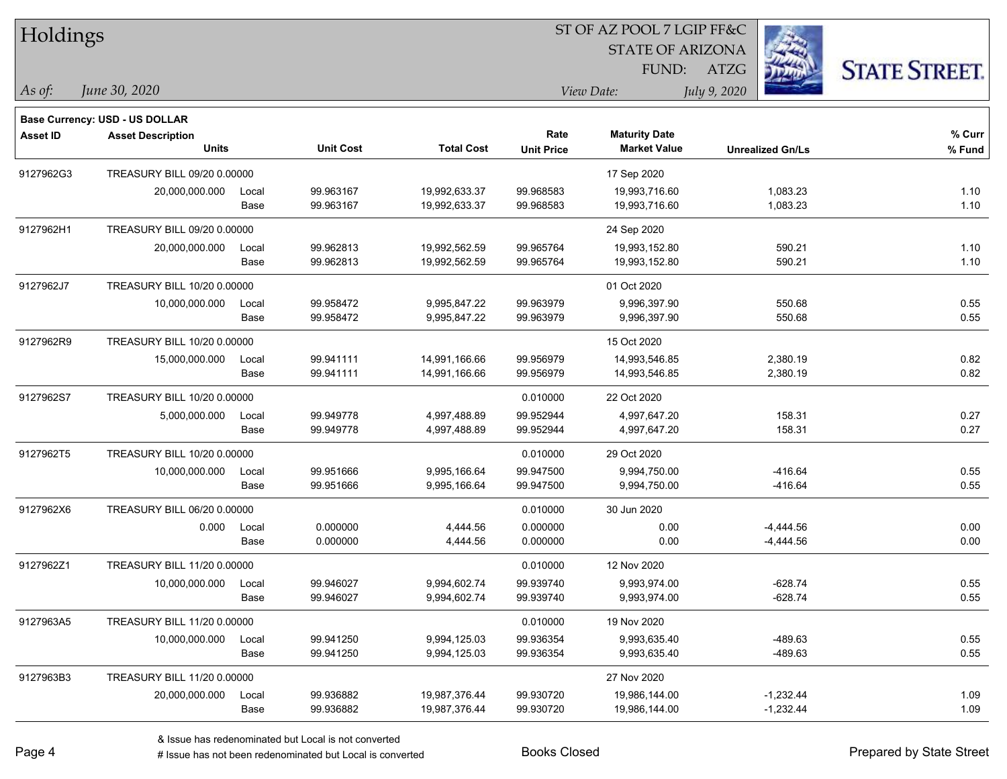| Holdings        |                                       |       |                  |                   |                   | 51 OF AZ POOL 7 LGIP FF&C |                         |                      |
|-----------------|---------------------------------------|-------|------------------|-------------------|-------------------|---------------------------|-------------------------|----------------------|
|                 |                                       |       |                  |                   |                   | <b>STATE OF ARIZONA</b>   |                         |                      |
|                 |                                       |       |                  |                   |                   | FUND:                     | ATZG                    | <b>STATE STREET.</b> |
| $As$ of:        | June 30, 2020                         |       |                  |                   |                   | View Date:                | July 9, 2020            |                      |
|                 | <b>Base Currency: USD - US DOLLAR</b> |       |                  |                   |                   |                           |                         |                      |
| <b>Asset ID</b> | <b>Asset Description</b>              |       |                  |                   | Rate              | <b>Maturity Date</b>      |                         | % Curr               |
|                 | <b>Units</b>                          |       | <b>Unit Cost</b> | <b>Total Cost</b> | <b>Unit Price</b> | <b>Market Value</b>       | <b>Unrealized Gn/Ls</b> | $%$ Fund             |
| 9127962G3       | TREASURY BILL 09/20 0.00000           |       |                  |                   |                   | 17 Sep 2020               |                         |                      |
|                 | 20,000,000.000                        | Local | 99.963167        | 19,992,633.37     | 99.968583         | 19,993,716.60             | 1,083.23                | 1.10                 |
|                 |                                       | Base  | 99.963167        | 19,992,633.37     | 99.968583         | 19,993,716.60             | 1,083.23                | 1.10                 |
| 9127962H1       | TREASURY BILL 09/20 0.00000           |       |                  |                   |                   | 24 Sep 2020               |                         |                      |
|                 | 20,000,000.000                        | Local | 99.962813        | 19,992,562.59     | 99.965764         | 19,993,152.80             | 590.21                  | 1.10                 |
|                 |                                       | Base  | 99.962813        | 19,992,562.59     | 99.965764         | 19,993,152.80             | 590.21                  | 1.10                 |
| 9127962J7       | TREASURY BILL 10/20 0.00000           |       |                  |                   |                   | 01 Oct 2020               |                         |                      |
|                 | 10,000,000.000                        | Local | 99.958472        | 9,995,847.22      | 99.963979         | 9,996,397.90              | 550.68                  | 0.55                 |
|                 |                                       | Base  | 99.958472        | 9,995,847.22      | 99.963979         | 9,996,397.90              | 550.68                  | 0.55                 |
| 9127962R9       | TREASURY BILL 10/20 0.00000           |       |                  |                   |                   | 15 Oct 2020               |                         |                      |
|                 | 15,000,000.000                        | Local | 99.941111        | 14,991,166.66     | 99.956979         | 14,993,546.85             | 2,380.19                | 0.82                 |
|                 |                                       | Base  | 99.941111        | 14,991,166.66     | 99.956979         | 14,993,546.85             | 2,380.19                | 0.82                 |
| 9127962S7       | TREASURY BILL 10/20 0.00000           |       |                  |                   | 0.010000          | 22 Oct 2020               |                         |                      |
|                 | 5,000,000.000                         | Local | 99.949778        | 4,997,488.89      | 99.952944         | 4,997,647.20              | 158.31                  | 0.27                 |
|                 |                                       | Base  | 99.949778        | 4,997,488.89      | 99.952944         | 4,997,647.20              | 158.31                  | 0.27                 |
| 9127962T5       | TREASURY BILL 10/20 0.00000           |       |                  |                   | 0.010000          | 29 Oct 2020               |                         |                      |
|                 | 10,000,000.000                        | Local | 99.951666        | 9,995,166.64      | 99.947500         | 9,994,750.00              | $-416.64$               | 0.55                 |
|                 |                                       | Base  | 99.951666        | 9,995,166.64      | 99.947500         | 9,994,750.00              | $-416.64$               | 0.55                 |
| 9127962X6       | TREASURY BILL 06/20 0.00000           |       |                  |                   | 0.010000          | 30 Jun 2020               |                         |                      |
|                 | 0.000                                 | Local | 0.000000         | 4.444.56          | 0.000000          | 0.00                      | $-4,444.56$             | 0.00                 |
|                 |                                       | Base  | 0.000000         | 4,444.56          | 0.000000          | 0.00                      | $-4,444.56$             | 0.00                 |
| 9127962Z1       | TREASURY BILL 11/20 0.00000           |       |                  |                   | 0.010000          | 12 Nov 2020               |                         |                      |
|                 | 10,000,000.000                        | Local | 99.946027        | 9,994,602.74      | 99.939740         | 9,993,974.00              | -628.74                 | 0.55                 |
|                 |                                       | Base  | 99.946027        | 9,994,602.74      | 99.939740         | 9,993,974.00              | $-628.74$               | 0.55                 |
| 9127963A5       | TREASURY BILL 11/20 0.00000           |       |                  |                   | 0.010000          | 19 Nov 2020               |                         |                      |
|                 | 10,000,000.000                        | Local | 99.941250        | 9,994,125.03      | 99.936354         | 9,993,635.40              | -489.63                 | 0.55                 |
|                 |                                       | Base  | 99.941250        | 9,994,125.03      | 99.936354         | 9,993,635.40              | $-489.63$               | 0.55                 |
| 9127963B3       | TREASURY BILL 11/20 0.00000           |       |                  |                   |                   | 27 Nov 2020               |                         |                      |
|                 | 20,000,000.000                        | Local | 99.936882        | 19,987,376.44     | 99.930720         | 19,986,144.00             | $-1,232.44$             | 1.09                 |
|                 |                                       | Base  | 99.936882        | 19,987,376.44     | 99.930720         | 19,986,144.00             | $-1,232.44$             | 1.09                 |

 $\overline{\text{SUSPQO}}$   $\overline{\text{SUSP}}$ 

٦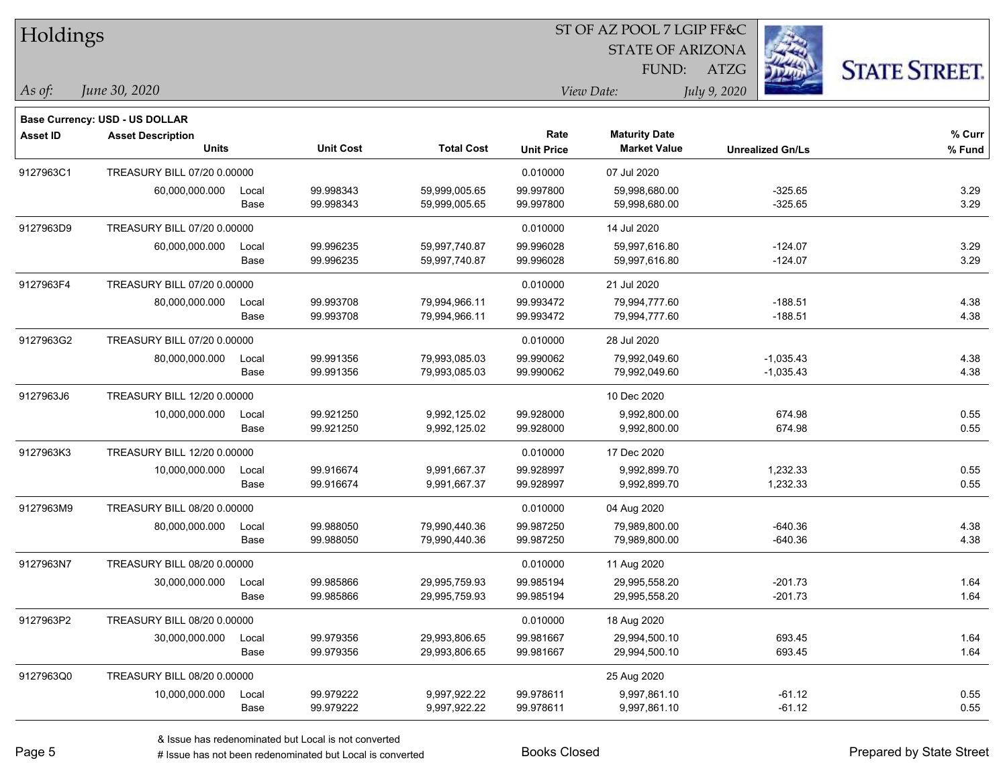| Holdings        |                                |       |                  |                   |                   | 51 OF AZ POOL 7 LGIP FF&C |              |                         |                      |
|-----------------|--------------------------------|-------|------------------|-------------------|-------------------|---------------------------|--------------|-------------------------|----------------------|
|                 |                                |       |                  |                   |                   | <b>STATE OF ARIZONA</b>   |              | i.                      |                      |
|                 |                                |       |                  |                   |                   | FUND:                     | ATZG         |                         | <b>STATE STREET.</b> |
| As of:          | June 30, 2020                  |       |                  |                   |                   | View Date:                | July 9, 2020 |                         |                      |
|                 | Base Currency: USD - US DOLLAR |       |                  |                   |                   |                           |              |                         |                      |
| <b>Asset ID</b> | <b>Asset Description</b>       |       |                  |                   | Rate              | <b>Maturity Date</b>      |              |                         | $%$ Curr             |
|                 | <b>Units</b>                   |       | <b>Unit Cost</b> | <b>Total Cost</b> | <b>Unit Price</b> | <b>Market Value</b>       |              | <b>Unrealized Gn/Ls</b> | $%$ Fund             |
| 9127963C1       | TREASURY BILL 07/20 0.00000    |       |                  |                   | 0.010000          | 07 Jul 2020               |              |                         |                      |
|                 | 60,000,000.000                 | Local | 99.998343        | 59,999,005.65     | 99.997800         | 59,998,680.00             |              | $-325.65$               | 3.29                 |
|                 |                                | Base  | 99.998343        | 59,999,005.65     | 99.997800         | 59,998,680.00             |              | $-325.65$               | 3.29                 |
| 9127963D9       | TREASURY BILL 07/20 0.00000    |       |                  |                   | 0.010000          | 14 Jul 2020               |              |                         |                      |
|                 | 60,000,000.000                 | Local | 99.996235        | 59,997,740.87     | 99.996028         | 59,997,616.80             |              | $-124.07$               | 3.29                 |
|                 |                                | Base  | 99.996235        | 59,997,740.87     | 99.996028         | 59,997,616.80             |              | $-124.07$               | 3.29                 |
| 9127963F4       | TREASURY BILL 07/20 0.00000    |       |                  |                   | 0.010000          | 21 Jul 2020               |              |                         |                      |
|                 | 80,000,000.000                 | Local | 99.993708        | 79,994,966.11     | 99.993472         | 79,994,777.60             |              | $-188.51$               | 4.38                 |
|                 |                                | Base  | 99.993708        | 79,994,966.11     | 99.993472         | 79,994,777.60             |              | $-188.51$               | 4.38                 |
| 9127963G2       | TREASURY BILL 07/20 0.00000    |       |                  |                   | 0.010000          | 28 Jul 2020               |              |                         |                      |
|                 | 80,000,000.000                 | Local | 99.991356        | 79,993,085.03     | 99.990062         | 79,992,049.60             |              | $-1,035.43$             | 4.38                 |
|                 |                                | Base  | 99.991356        | 79,993,085.03     | 99.990062         | 79,992,049.60             |              | $-1,035.43$             | 4.38                 |
| 9127963J6       | TREASURY BILL 12/20 0.00000    |       |                  |                   |                   | 10 Dec 2020               |              |                         |                      |
|                 | 10,000,000.000                 | Local | 99.921250        | 9,992,125.02      | 99.928000         | 9,992,800.00              |              | 674.98                  | 0.55                 |
|                 |                                | Base  | 99.921250        | 9,992,125.02      | 99.928000         | 9,992,800.00              |              | 674.98                  | 0.55                 |
| 9127963K3       | TREASURY BILL 12/20 0.00000    |       |                  |                   | 0.010000          | 17 Dec 2020               |              |                         |                      |
|                 | 10,000,000.000                 | Local | 99.916674        | 9,991,667.37      | 99.928997         | 9,992,899.70              |              | 1,232.33                | 0.55                 |
|                 |                                | Base  | 99.916674        | 9,991,667.37      | 99.928997         | 9,992,899.70              |              | 1,232.33                | 0.55                 |
| 9127963M9       | TREASURY BILL 08/20 0.00000    |       |                  |                   | 0.010000          | 04 Aug 2020               |              |                         |                      |
|                 | 80,000,000.000                 | Local | 99.988050        | 79,990,440.36     | 99.987250         | 79,989,800.00             |              | $-640.36$               | 4.38                 |
|                 |                                | Base  | 99.988050        | 79,990,440.36     | 99.987250         | 79,989,800.00             |              | $-640.36$               | 4.38                 |
| 9127963N7       | TREASURY BILL 08/20 0.00000    |       |                  |                   | 0.010000          | 11 Aug 2020               |              |                         |                      |
|                 | 30,000,000.000                 | Local | 99.985866        | 29,995,759.93     | 99.985194         | 29,995,558.20             |              | $-201.73$               | 1.64                 |
|                 |                                | Base  | 99.985866        | 29,995,759.93     | 99.985194         | 29,995,558.20             |              | $-201.73$               | 1.64                 |
| 9127963P2       | TREASURY BILL 08/20 0.00000    |       |                  |                   | 0.010000          | 18 Aug 2020               |              |                         |                      |
|                 | 30,000,000.000                 | Local | 99.979356        | 29,993,806.65     | 99.981667         | 29,994,500.10             |              | 693.45                  | 1.64                 |
|                 |                                | Base  | 99.979356        | 29,993,806.65     | 99.981667         | 29,994,500.10             |              | 693.45                  | 1.64                 |
| 9127963Q0       | TREASURY BILL 08/20 0.00000    |       |                  |                   |                   | 25 Aug 2020               |              |                         |                      |
|                 | 10,000,000.000                 | Local | 99.979222        | 9,997,922.22      | 99.978611         | 9,997,861.10              |              | $-61.12$                | 0.55                 |
|                 |                                | Base  | 99.979222        | 9,997,922.22      | 99.978611         | 9,997,861.10              |              | $-61.12$                | 0.55                 |
|                 |                                |       |                  |                   |                   |                           |              |                         |                      |

 $ST$  OF A Z POOL 7 LCIP FF&C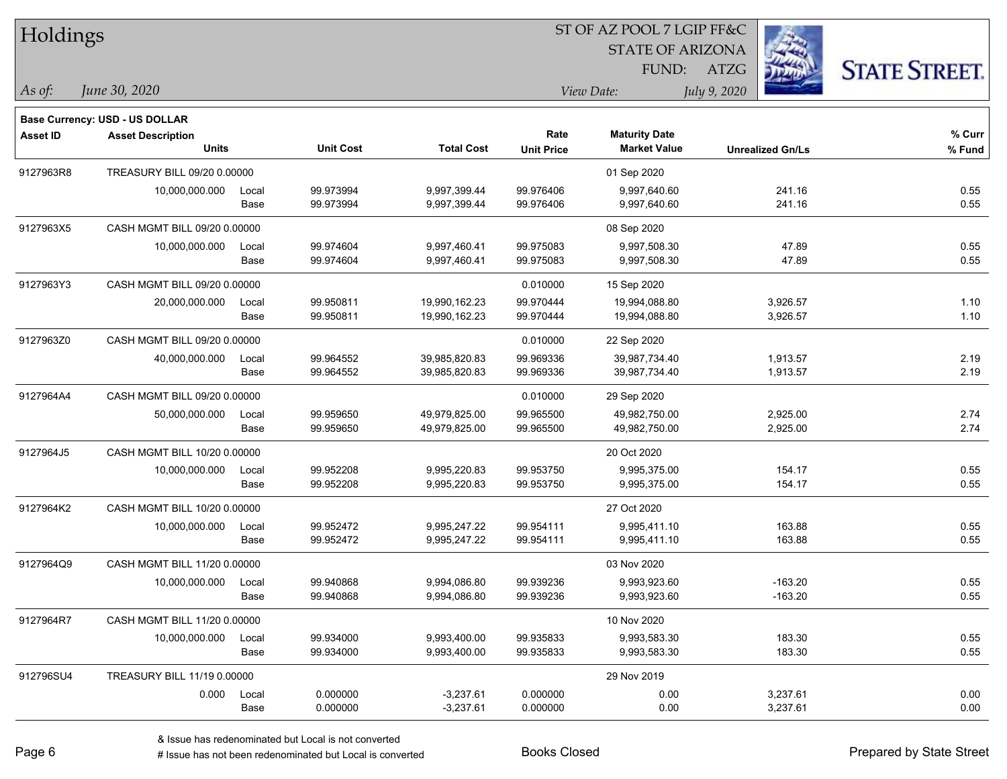| <b>Holdings</b> |                                       |       |                  |                   |                   | 51 OF AZ POOL 7 LGIP FF&C |                         |                      |
|-----------------|---------------------------------------|-------|------------------|-------------------|-------------------|---------------------------|-------------------------|----------------------|
|                 |                                       |       |                  |                   |                   | <b>STATE OF ARIZONA</b>   | Ź.                      |                      |
|                 |                                       |       |                  |                   |                   | FUND:                     | ATZG                    | <b>STATE STREET.</b> |
| As of:          | June 30, 2020                         |       |                  |                   |                   | View Date:                | July 9, 2020            |                      |
|                 | <b>Base Currency: USD - US DOLLAR</b> |       |                  |                   |                   |                           |                         |                      |
| <b>Asset ID</b> | <b>Asset Description</b>              |       |                  |                   | Rate              | <b>Maturity Date</b>      |                         | $%$ Curr             |
|                 | <b>Units</b>                          |       | <b>Unit Cost</b> | <b>Total Cost</b> | <b>Unit Price</b> | <b>Market Value</b>       | <b>Unrealized Gn/Ls</b> | % Fund               |
| 9127963R8       | TREASURY BILL 09/20 0.00000           |       |                  |                   |                   | 01 Sep 2020               |                         |                      |
|                 | 10,000,000.000                        | Local | 99.973994        | 9,997,399.44      | 99.976406         | 9,997,640.60              | 241.16                  | 0.55                 |
|                 |                                       | Base  | 99.973994        | 9,997,399.44      | 99.976406         | 9,997,640.60              | 241.16                  | 0.55                 |
| 9127963X5       | CASH MGMT BILL 09/20 0.00000          |       |                  |                   |                   | 08 Sep 2020               |                         |                      |
|                 | 10,000,000.000                        | Local | 99.974604        | 9,997,460.41      | 99.975083         | 9,997,508.30              | 47.89                   | 0.55                 |
|                 |                                       | Base  | 99.974604        | 9,997,460.41      | 99.975083         | 9,997,508.30              | 47.89                   | 0.55                 |
| 9127963Y3       | CASH MGMT BILL 09/20 0.00000          |       |                  |                   | 0.010000          | 15 Sep 2020               |                         |                      |
|                 | 20,000,000.000                        | Local | 99.950811        | 19,990,162.23     | 99.970444         | 19,994,088.80             | 3,926.57                | 1.10                 |
|                 |                                       | Base  | 99.950811        | 19,990,162.23     | 99.970444         | 19,994,088.80             | 3,926.57                | 1.10                 |
| 9127963Z0       | CASH MGMT BILL 09/20 0.00000          |       |                  |                   | 0.010000          | 22 Sep 2020               |                         |                      |
|                 | 40,000,000.000                        | Local | 99.964552        | 39,985,820.83     | 99.969336         | 39,987,734.40             | 1,913.57                | 2.19                 |
|                 |                                       | Base  | 99.964552        | 39,985,820.83     | 99.969336         | 39,987,734.40             | 1,913.57                | 2.19                 |
| 9127964A4       | CASH MGMT BILL 09/20 0.00000          |       |                  |                   | 0.010000          | 29 Sep 2020               |                         |                      |
|                 | 50,000,000.000                        | Local | 99.959650        | 49,979,825.00     | 99.965500         | 49,982,750.00             | 2,925.00                | 2.74                 |
|                 |                                       | Base  | 99.959650        | 49,979,825.00     | 99.965500         | 49,982,750.00             | 2,925.00                | 2.74                 |
| 9127964J5       | CASH MGMT BILL 10/20 0.00000          |       |                  |                   |                   | 20 Oct 2020               |                         |                      |
|                 | 10,000,000.000                        | Local | 99.952208        | 9,995,220.83      | 99.953750         | 9,995,375.00              | 154.17                  | 0.55                 |
|                 |                                       | Base  | 99.952208        | 9,995,220.83      | 99.953750         | 9,995,375.00              | 154.17                  | 0.55                 |
| 9127964K2       | CASH MGMT BILL 10/20 0.00000          |       |                  |                   |                   | 27 Oct 2020               |                         |                      |
|                 | 10,000,000.000                        | Local | 99.952472        | 9,995,247.22      | 99.954111         | 9,995,411.10              | 163.88                  | 0.55                 |
|                 |                                       | Base  | 99.952472        | 9,995,247.22      | 99.954111         | 9,995,411.10              | 163.88                  | 0.55                 |
| 9127964Q9       | CASH MGMT BILL 11/20 0.00000          |       |                  |                   |                   | 03 Nov 2020               |                         |                      |
|                 | 10,000,000.000                        | Local | 99.940868        | 9,994,086.80      | 99.939236         | 9,993,923.60              | $-163.20$               | 0.55                 |
|                 |                                       | Base  | 99.940868        | 9,994,086.80      | 99.939236         | 9,993,923.60              | $-163.20$               | 0.55                 |
| 9127964R7       | CASH MGMT BILL 11/20 0.00000          |       |                  |                   |                   | 10 Nov 2020               |                         |                      |
|                 | 10,000,000.000                        | Local | 99.934000        | 9,993,400.00      | 99.935833         | 9,993,583.30              | 183.30                  | 0.55                 |
|                 |                                       | Base  | 99.934000        | 9,993,400.00      | 99.935833         | 9,993,583.30              | 183.30                  | 0.55                 |
| 912796SU4       | TREASURY BILL 11/19 0.00000           |       |                  |                   |                   | 29 Nov 2019               |                         |                      |
|                 | 0.000                                 | Local | 0.000000         | $-3,237.61$       | 0.000000          | 0.00                      | 3,237.61                | 0.00                 |
|                 |                                       | Base  | 0.000000         | $-3,237.61$       | 0.000000          | 0.00                      | 3,237.61                | 0.00                 |

 $\overline{\text{SUSPQO}}$   $\overline{\text{SUSP}}$ 

denote the redenominated but Local is converted Books Closed Prepared by State Street

٦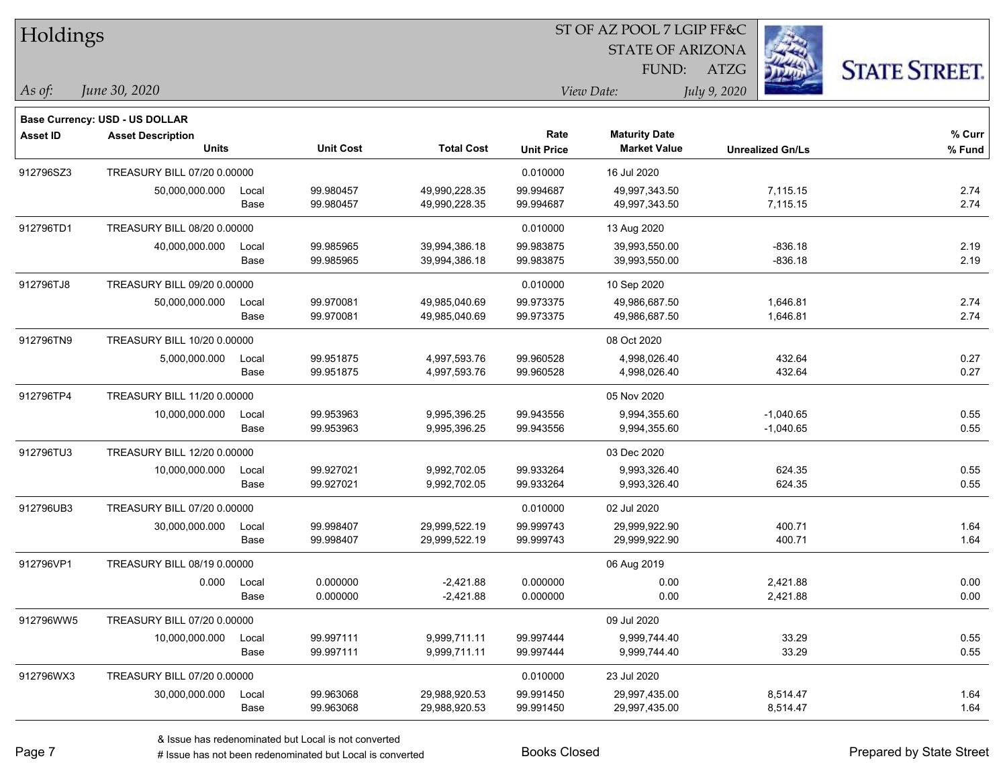| Holdings        |                                |       |                  |                   |                   | ST OF AZ POOL 7 LGIP FF&C |                         |                      |
|-----------------|--------------------------------|-------|------------------|-------------------|-------------------|---------------------------|-------------------------|----------------------|
|                 |                                |       |                  |                   |                   | <b>STATE OF ARIZONA</b>   |                         |                      |
|                 |                                |       |                  |                   |                   | FUND:                     | <b>ATZG</b>             | <b>STATE STREET.</b> |
| As of:          | June 30, 2020                  |       |                  |                   |                   | View Date:                | July 9, 2020            |                      |
|                 | Base Currency: USD - US DOLLAR |       |                  |                   |                   |                           |                         |                      |
| <b>Asset ID</b> | <b>Asset Description</b>       |       |                  |                   | Rate              | <b>Maturity Date</b>      |                         | % Curr               |
|                 | <b>Units</b>                   |       | <b>Unit Cost</b> | <b>Total Cost</b> | <b>Unit Price</b> | <b>Market Value</b>       | <b>Unrealized Gn/Ls</b> | % Fund               |
| 912796SZ3       | TREASURY BILL 07/20 0.00000    |       |                  |                   | 0.010000          | 16 Jul 2020               |                         |                      |
|                 | 50,000,000.000                 | Local | 99.980457        | 49,990,228.35     | 99.994687         | 49,997,343.50             | 7,115.15                | 2.74                 |
|                 |                                | Base  | 99.980457        | 49,990,228.35     | 99.994687         | 49,997,343.50             | 7,115.15                | 2.74                 |
| 912796TD1       | TREASURY BILL 08/20 0.00000    |       |                  |                   | 0.010000          | 13 Aug 2020               |                         |                      |
|                 | 40,000,000.000                 | Local | 99.985965        | 39,994,386.18     | 99.983875         | 39,993,550.00             | -836.18                 | 2.19                 |
|                 |                                | Base  | 99.985965        | 39,994,386.18     | 99.983875         | 39,993,550.00             | $-836.18$               | 2.19                 |
| 912796TJ8       | TREASURY BILL 09/20 0.00000    |       |                  |                   | 0.010000          | 10 Sep 2020               |                         |                      |
|                 | 50,000,000.000                 | Local | 99.970081        | 49,985,040.69     | 99.973375         | 49,986,687.50             | 1,646.81                | 2.74                 |
|                 |                                | Base  | 99.970081        | 49,985,040.69     | 99.973375         | 49,986,687.50             | 1,646.81                | 2.74                 |
| 912796TN9       | TREASURY BILL 10/20 0.00000    |       |                  |                   |                   | 08 Oct 2020               |                         |                      |
|                 | 5,000,000.000                  | Local | 99.951875        | 4,997,593.76      | 99.960528         | 4,998,026.40              | 432.64                  | 0.27                 |
|                 |                                | Base  | 99.951875        | 4,997,593.76      | 99.960528         | 4,998,026.40              | 432.64                  | 0.27                 |
| 912796TP4       | TREASURY BILL 11/20 0.00000    |       |                  |                   |                   | 05 Nov 2020               |                         |                      |
|                 | 10,000,000.000                 | Local | 99.953963        | 9,995,396.25      | 99.943556         | 9,994,355.60              | $-1,040.65$             | 0.55                 |
|                 |                                | Base  | 99.953963        | 9,995,396.25      | 99.943556         | 9,994,355.60              | $-1,040.65$             | 0.55                 |
| 912796TU3       | TREASURY BILL 12/20 0.00000    |       |                  |                   |                   | 03 Dec 2020               |                         |                      |
|                 | 10,000,000.000                 | Local | 99.927021        | 9,992,702.05      | 99.933264         | 9,993,326.40              | 624.35                  | 0.55                 |
|                 |                                | Base  | 99.927021        | 9,992,702.05      | 99.933264         | 9,993,326.40              | 624.35                  | 0.55                 |
| 912796UB3       | TREASURY BILL 07/20 0.00000    |       |                  |                   | 0.010000          | 02 Jul 2020               |                         |                      |
|                 | 30,000,000.000                 | Local | 99.998407        | 29,999,522.19     | 99.999743         | 29,999,922.90             | 400.71                  | 1.64                 |
|                 |                                | Base  | 99.998407        | 29,999,522.19     | 99.999743         | 29,999,922.90             | 400.71                  | 1.64                 |
| 912796VP1       | TREASURY BILL 08/19 0.00000    |       |                  |                   |                   | 06 Aug 2019               |                         |                      |
|                 | 0.000                          | Local | 0.000000         | $-2,421.88$       | 0.000000          | 0.00                      | 2,421.88                | 0.00                 |
|                 |                                | Base  | 0.000000         | $-2,421.88$       | 0.000000          | 0.00                      | 2,421.88                | 0.00                 |
| 912796WW5       | TREASURY BILL 07/20 0.00000    |       |                  |                   |                   | 09 Jul 2020               |                         |                      |
|                 | 10,000,000.000                 | Local | 99.997111        | 9,999,711.11      | 99.997444         | 9,999,744.40              | 33.29                   | 0.55                 |
|                 |                                | Base  | 99.997111        | 9,999,711.11      | 99.997444         | 9,999,744.40              | 33.29                   | 0.55                 |
| 912796WX3       | TREASURY BILL 07/20 0.00000    |       |                  |                   | 0.010000          | 23 Jul 2020               |                         |                      |
|                 | 30,000,000.000                 | Local | 99.963068        | 29,988,920.53     | 99.991450         | 29,997,435.00             | 8,514.47                | 1.64                 |
|                 |                                | Base  | 99.963068        | 29,988,920.53     | 99.991450         | 29,997,435.00             | 8,514.47                | 1.64                 |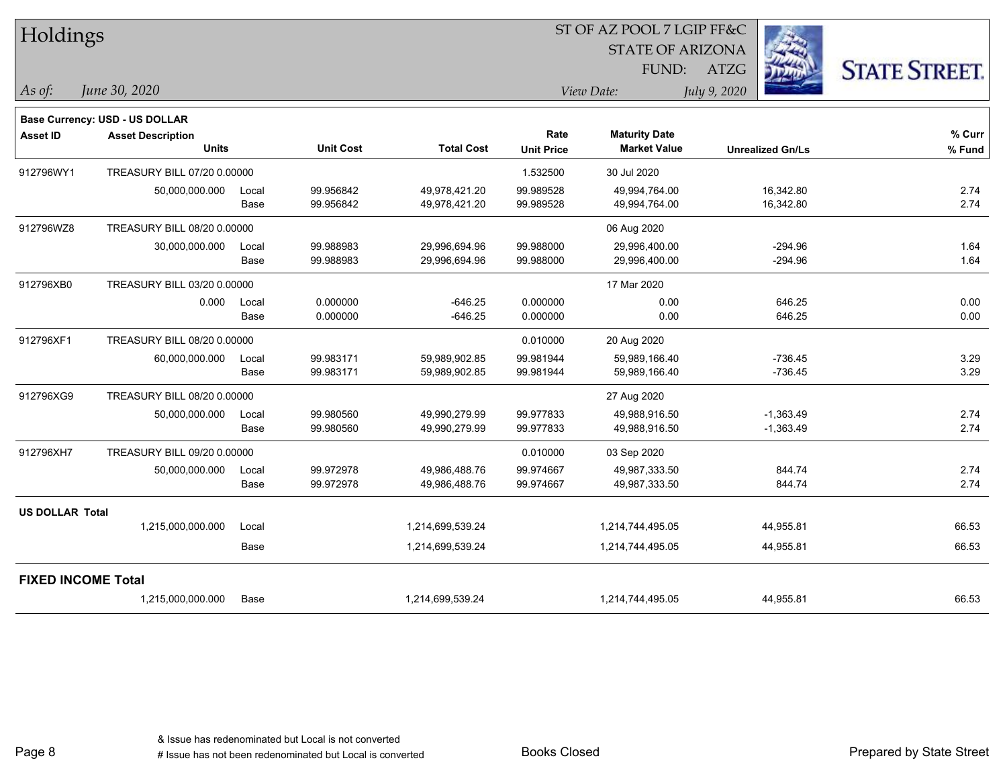| Holdings               |                                       |       |                  |                   |                   | ST OF AZ POOL 7 LGIP FF&C |                         |                      |  |
|------------------------|---------------------------------------|-------|------------------|-------------------|-------------------|---------------------------|-------------------------|----------------------|--|
|                        |                                       |       |                  |                   |                   | <b>STATE OF ARIZONA</b>   |                         |                      |  |
|                        |                                       |       |                  |                   |                   | FUND:                     | <b>ATZG</b>             | <b>STATE STREET.</b> |  |
| As of:                 | June 30, 2020                         |       |                  |                   |                   | View Date:                | July 9, 2020            |                      |  |
|                        | <b>Base Currency: USD - US DOLLAR</b> |       |                  |                   |                   |                           |                         |                      |  |
| <b>Asset ID</b>        | <b>Asset Description</b>              |       |                  |                   | Rate              | <b>Maturity Date</b>      |                         | % Curr               |  |
|                        | <b>Units</b>                          |       | <b>Unit Cost</b> | <b>Total Cost</b> | <b>Unit Price</b> | <b>Market Value</b>       | <b>Unrealized Gn/Ls</b> | % Fund               |  |
| 912796WY1              | TREASURY BILL 07/20 0.00000           |       |                  |                   | 1.532500          | 30 Jul 2020               |                         |                      |  |
|                        | 50,000,000.000                        | Local | 99.956842        | 49,978,421.20     | 99.989528         | 49,994,764.00             | 16,342.80               | 2.74                 |  |
|                        |                                       | Base  | 99.956842        | 49,978,421.20     | 99.989528         | 49,994,764.00             | 16,342.80               | 2.74                 |  |
| 912796WZ8              | TREASURY BILL 08/20 0.00000           |       |                  |                   |                   | 06 Aug 2020               |                         |                      |  |
|                        | 30,000,000.000                        | Local | 99.988983        | 29,996,694.96     | 99.988000         | 29,996,400.00             | $-294.96$               | 1.64                 |  |
|                        |                                       | Base  | 99.988983        | 29,996,694.96     | 99.988000         | 29,996,400.00             | $-294.96$               | 1.64                 |  |
| 912796XB0              | TREASURY BILL 03/20 0.00000           |       |                  |                   |                   | 17 Mar 2020               |                         |                      |  |
|                        | 0.000                                 | Local | 0.000000         | $-646.25$         | 0.000000          | 0.00                      | 646.25                  | 0.00                 |  |
|                        |                                       | Base  | 0.000000         | $-646.25$         | 0.000000          | 0.00                      | 646.25                  | 0.00                 |  |
| 912796XF1              | TREASURY BILL 08/20 0.00000           |       |                  |                   | 0.010000          | 20 Aug 2020               |                         |                      |  |
|                        | 60,000,000.000                        | Local | 99.983171        | 59,989,902.85     | 99.981944         | 59,989,166.40             | $-736.45$               | 3.29                 |  |
|                        |                                       | Base  | 99.983171        | 59,989,902.85     | 99.981944         | 59,989,166.40             | $-736.45$               | 3.29                 |  |
| 912796XG9              | TREASURY BILL 08/20 0.00000           |       |                  |                   |                   | 27 Aug 2020               |                         |                      |  |
|                        | 50,000,000.000                        | Local | 99.980560        | 49,990,279.99     | 99.977833         | 49,988,916.50             | $-1,363.49$             | 2.74                 |  |
|                        |                                       | Base  | 99.980560        | 49,990,279.99     | 99.977833         | 49,988,916.50             | $-1,363.49$             | 2.74                 |  |
| 912796XH7              | TREASURY BILL 09/20 0.00000           |       |                  |                   | 0.010000          | 03 Sep 2020               |                         |                      |  |
|                        | 50,000,000.000                        | Local | 99.972978        | 49,986,488.76     | 99.974667         | 49,987,333.50             | 844.74                  | 2.74                 |  |
|                        |                                       | Base  | 99.972978        | 49,986,488.76     | 99.974667         | 49,987,333.50             | 844.74                  | 2.74                 |  |
| <b>US DOLLAR Total</b> |                                       |       |                  |                   |                   |                           |                         |                      |  |
|                        | 1,215,000,000.000                     | Local |                  | 1,214,699,539.24  |                   | 1,214,744,495.05          | 44,955.81               | 66.53                |  |
|                        |                                       | Base  |                  | 1,214,699,539.24  |                   | 1,214,744,495.05          | 44,955.81               | 66.53                |  |
|                        | <b>FIXED INCOME Total</b>             |       |                  |                   |                   |                           |                         |                      |  |
|                        | 1,215,000,000.000                     | Base  |                  | 1,214,699,539.24  |                   | 1,214,744,495.05          | 44,955.81               | 66.53                |  |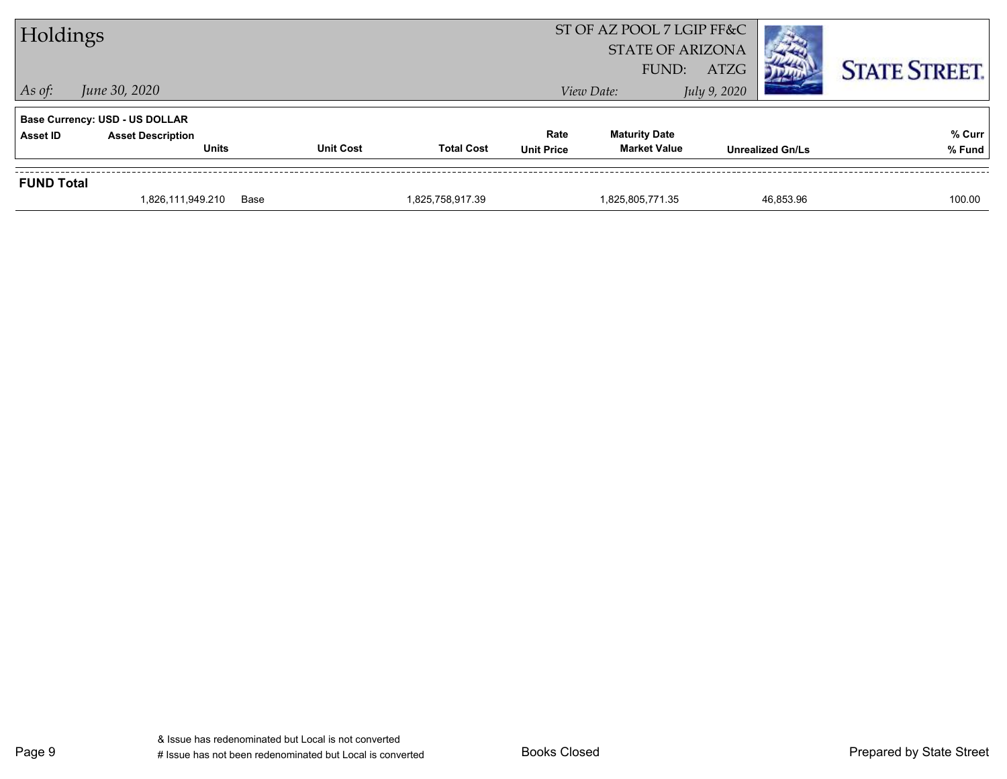| Holdings          |                                                                                   |                  |                   |                           | ST OF AZ POOL 7 LGIP FF&C<br><b>STATE OF ARIZONA</b> |  |                         | <b>STATE STREET.</b> |  |
|-------------------|-----------------------------------------------------------------------------------|------------------|-------------------|---------------------------|------------------------------------------------------|--|-------------------------|----------------------|--|
| $\vert$ As of:    | FUND:<br>ATZG<br>June 30, 2020<br>July 9, 2020<br>View Date:                      |                  |                   |                           |                                                      |  |                         |                      |  |
| <b>Asset ID</b>   | <b>Base Currency: USD - US DOLLAR</b><br><b>Asset Description</b><br><b>Units</b> | <b>Unit Cost</b> | <b>Total Cost</b> | Rate<br><b>Unit Price</b> | <b>Maturity Date</b><br><b>Market Value</b>          |  | <b>Unrealized Gn/Ls</b> | % Curr<br>% Fund     |  |
| <b>FUND Total</b> |                                                                                   |                  |                   |                           |                                                      |  |                         |                      |  |
|                   | 1,826,111,949.210                                                                 | Base             | 1,825,758,917.39  |                           | 1,825,805,771.35                                     |  | 46,853.96               | 100.00               |  |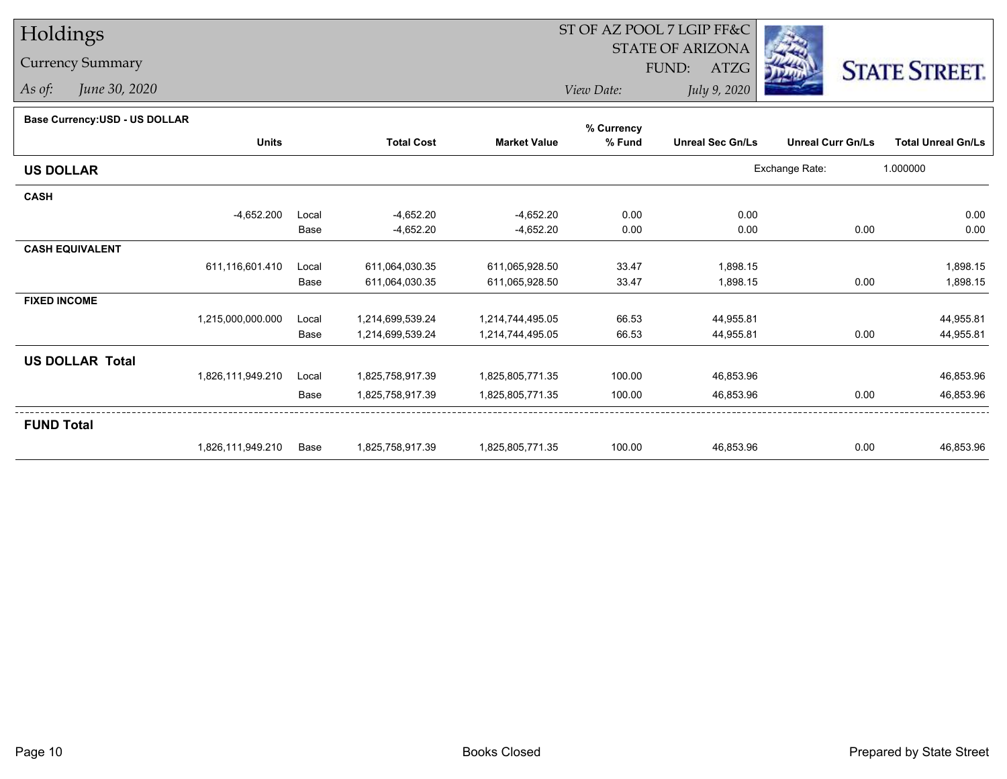## Holdings

## Currency Summary

*As of: June 30, 2020*

## ST OF AZ POOL 7 LGIP FF&C

STATE OF ARIZONA

FUND: ATZG



*View Date:July 9, 2020*

| <b>Base Currency:USD - US DOLLAR</b> |                   |       |                   |                     | % Currency |                         |                          |                           |
|--------------------------------------|-------------------|-------|-------------------|---------------------|------------|-------------------------|--------------------------|---------------------------|
|                                      | <b>Units</b>      |       | <b>Total Cost</b> | <b>Market Value</b> | % Fund     | <b>Unreal Sec Gn/Ls</b> | <b>Unreal Curr Gn/Ls</b> | <b>Total Unreal Gn/Ls</b> |
| <b>US DOLLAR</b>                     |                   |       |                   |                     |            |                         | Exchange Rate:           | 1.000000                  |
| <b>CASH</b>                          |                   |       |                   |                     |            |                         |                          |                           |
|                                      | $-4,652.200$      | Local | $-4,652.20$       | $-4,652.20$         | 0.00       | 0.00                    |                          | 0.00                      |
|                                      |                   | Base  | -4,652.20         | $-4,652.20$         | 0.00       | 0.00                    | 0.00                     | 0.00                      |
| <b>CASH EQUIVALENT</b>               |                   |       |                   |                     |            |                         |                          |                           |
|                                      | 611,116,601.410   | Local | 611,064,030.35    | 611,065,928.50      | 33.47      | 1,898.15                |                          | 1,898.15                  |
|                                      |                   | Base  | 611,064,030.35    | 611,065,928.50      | 33.47      | 1,898.15                | 0.00                     | 1,898.15                  |
| <b>FIXED INCOME</b>                  |                   |       |                   |                     |            |                         |                          |                           |
|                                      | 1,215,000,000.000 | Local | 1,214,699,539.24  | 1,214,744,495.05    | 66.53      | 44,955.81               |                          | 44,955.81                 |
|                                      |                   | Base  | 1,214,699,539.24  | 1,214,744,495.05    | 66.53      | 44,955.81               | 0.00                     | 44,955.81                 |
| <b>US DOLLAR Total</b>               |                   |       |                   |                     |            |                         |                          |                           |
|                                      | 1,826,111,949.210 | Local | 1,825,758,917.39  | 1,825,805,771.35    | 100.00     | 46,853.96               |                          | 46,853.96                 |
|                                      |                   | Base  | 1,825,758,917.39  | 1,825,805,771.35    | 100.00     | 46,853.96               | 0.00                     | 46,853.96                 |
| <b>FUND Total</b>                    |                   |       |                   |                     |            |                         |                          |                           |
|                                      | 1,826,111,949.210 | Base  | 1,825,758,917.39  | 1,825,805,771.35    | 100.00     | 46,853.96               | 0.00                     | 46,853.96                 |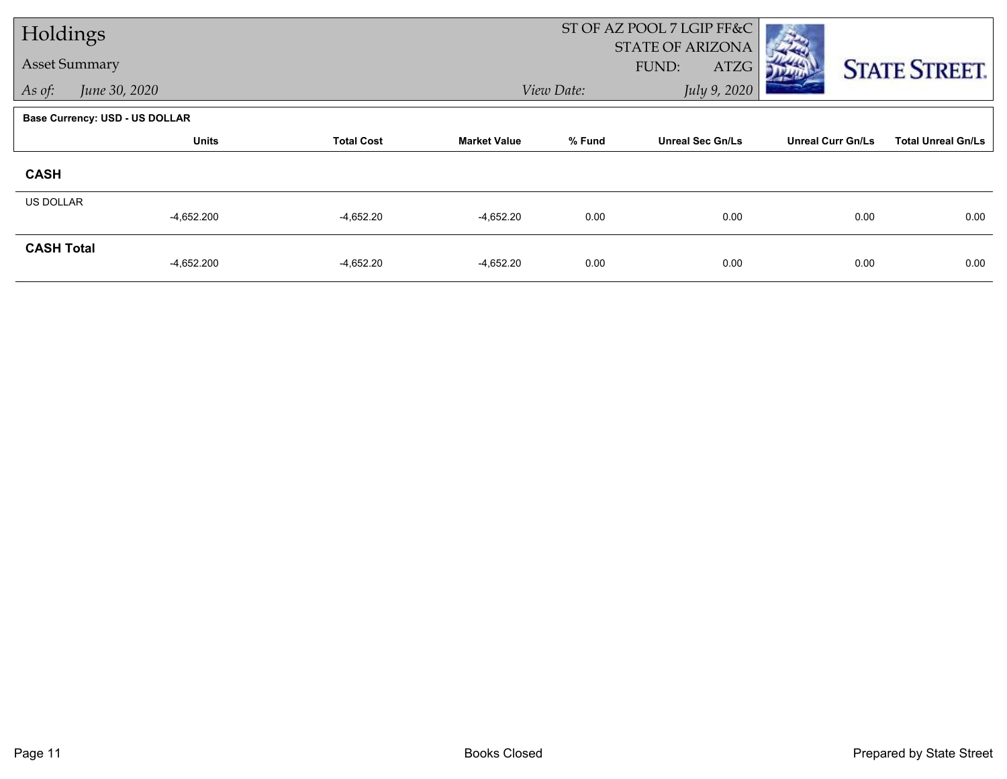| Holdings             |                                       |                   |                     |            | ST OF AZ POOL 7 LGIP FF&C<br>STATE OF ARIZONA |                          |                           |  |
|----------------------|---------------------------------------|-------------------|---------------------|------------|-----------------------------------------------|--------------------------|---------------------------|--|
| <b>Asset Summary</b> |                                       |                   |                     |            | FUND:<br>ATZG                                 |                          | <b>STATE STREET.</b>      |  |
| As of:               | June 30, 2020                         |                   |                     | View Date: | July 9, 2020                                  |                          |                           |  |
|                      | <b>Base Currency: USD - US DOLLAR</b> |                   |                     |            |                                               |                          |                           |  |
|                      | <b>Units</b>                          | <b>Total Cost</b> | <b>Market Value</b> | % Fund     | <b>Unreal Sec Gn/Ls</b>                       | <b>Unreal Curr Gn/Ls</b> | <b>Total Unreal Gn/Ls</b> |  |
| <b>CASH</b>          |                                       |                   |                     |            |                                               |                          |                           |  |
| <b>US DOLLAR</b>     | $-4,652.200$                          | $-4,652.20$       | $-4,652.20$         | 0.00       | 0.00                                          | 0.00                     | 0.00                      |  |
|                      |                                       |                   |                     |            |                                               |                          |                           |  |
| <b>CASH Total</b>    | $-4,652.200$                          | $-4,652.20$       | $-4,652.20$         | 0.00       | 0.00                                          | 0.00                     | 0.00                      |  |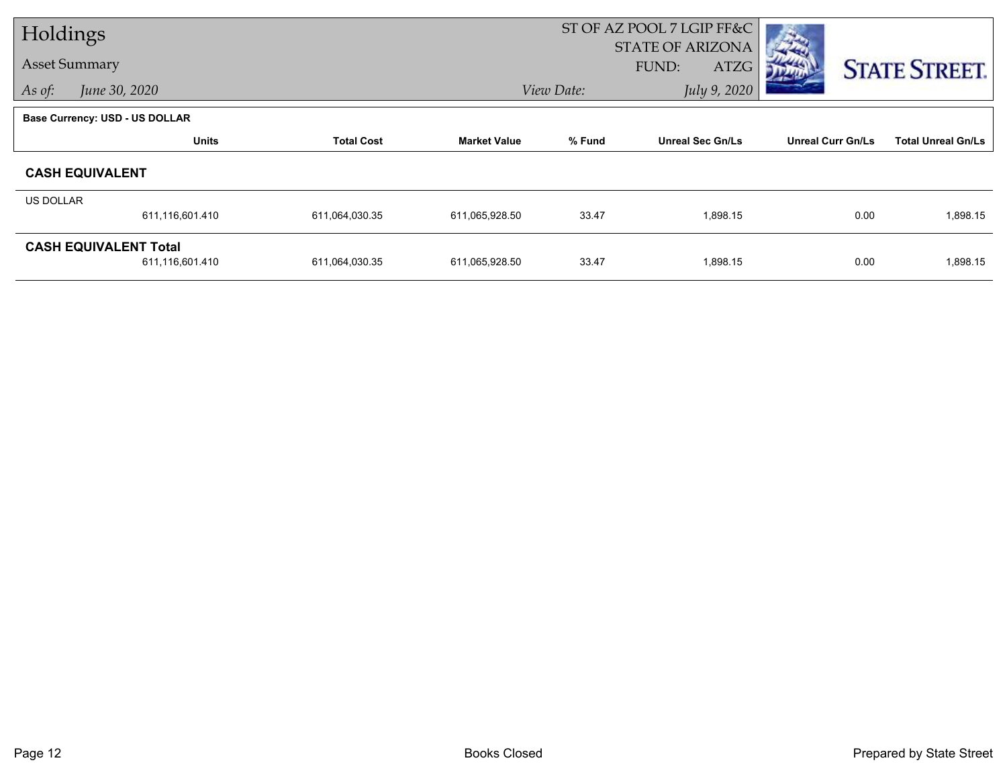| Holdings  |                                                 |                   |                     |                            | ST OF AZ POOL 7 LGIP FF&C                |                          |                           |
|-----------|-------------------------------------------------|-------------------|---------------------|----------------------------|------------------------------------------|--------------------------|---------------------------|
|           | <b>Asset Summary</b>                            |                   |                     |                            | <b>STATE OF ARIZONA</b><br>FUND:<br>ATZG |                          | <b>STATE STREET.</b>      |
| As of:    | June 30, 2020                                   |                   |                     | July 9, 2020<br>View Date: |                                          |                          |                           |
|           | <b>Base Currency: USD - US DOLLAR</b>           |                   |                     |                            |                                          |                          |                           |
|           | <b>Units</b>                                    | <b>Total Cost</b> | <b>Market Value</b> | % Fund                     | <b>Unreal Sec Gn/Ls</b>                  | <b>Unreal Curr Gn/Ls</b> | <b>Total Unreal Gn/Ls</b> |
|           | <b>CASH EQUIVALENT</b>                          |                   |                     |                            |                                          |                          |                           |
| US DOLLAR |                                                 |                   |                     |                            |                                          |                          |                           |
|           | 611,116,601.410                                 | 611,064,030.35    | 611,065,928.50      | 33.47                      | 1,898.15                                 | 0.00                     | 1,898.15                  |
|           | <b>CASH EQUIVALENT Total</b><br>611,116,601.410 | 611,064,030.35    | 611,065,928.50      | 33.47                      | 1,898.15                                 | 0.00                     | 1,898.15                  |
|           |                                                 |                   |                     |                            |                                          |                          |                           |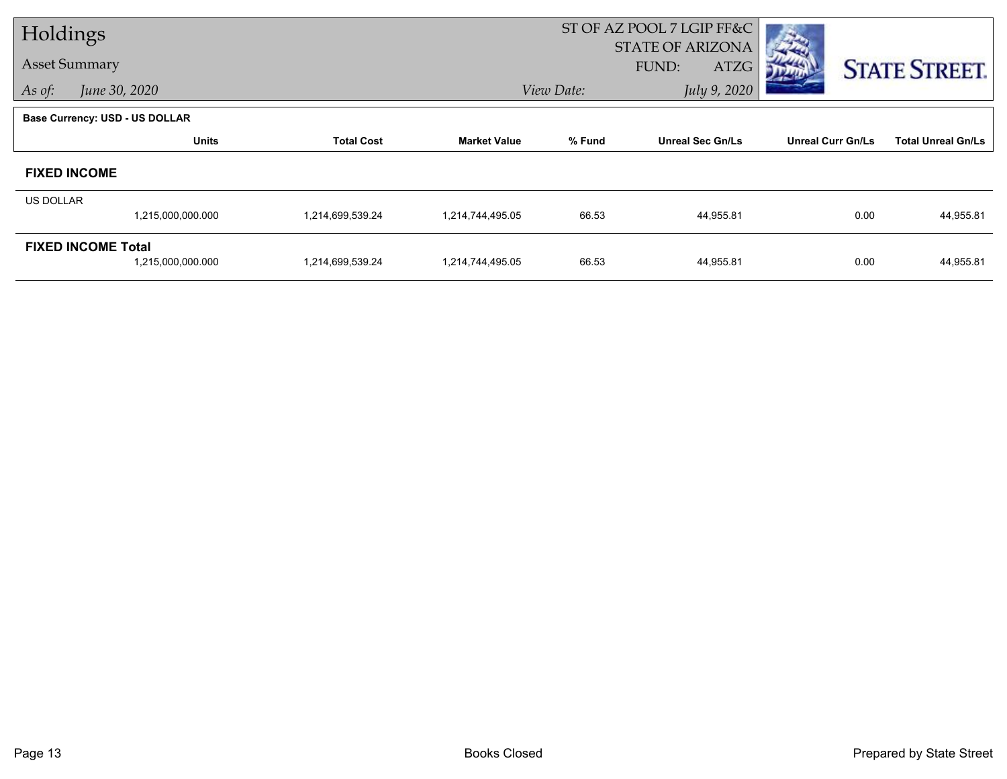| Holdings  |                                                |                   |                     | ST OF AZ POOL 7 LGIP FF&C  |                                          |                          |                           |
|-----------|------------------------------------------------|-------------------|---------------------|----------------------------|------------------------------------------|--------------------------|---------------------------|
|           | <b>Asset Summary</b>                           |                   |                     |                            | <b>STATE OF ARIZONA</b><br>ATZG<br>FUND: |                          | <b>STATE STREET.</b>      |
| As of:    | June 30, 2020                                  |                   |                     | July 9, 2020<br>View Date: |                                          |                          |                           |
|           | <b>Base Currency: USD - US DOLLAR</b>          |                   |                     |                            |                                          |                          |                           |
|           | <b>Units</b>                                   | <b>Total Cost</b> | <b>Market Value</b> | % Fund                     | <b>Unreal Sec Gn/Ls</b>                  | <b>Unreal Curr Gn/Ls</b> | <b>Total Unreal Gn/Ls</b> |
|           | <b>FIXED INCOME</b>                            |                   |                     |                            |                                          |                          |                           |
| US DOLLAR |                                                |                   |                     |                            |                                          |                          |                           |
|           | 1,215,000,000.000                              | 1,214,699,539.24  | 1,214,744,495.05    | 66.53                      | 44,955.81                                | 0.00                     | 44,955.81                 |
|           | <b>FIXED INCOME Total</b><br>1,215,000,000.000 | 1,214,699,539.24  | 1,214,744,495.05    | 66.53                      | 44,955.81                                | 0.00                     | 44,955.81                 |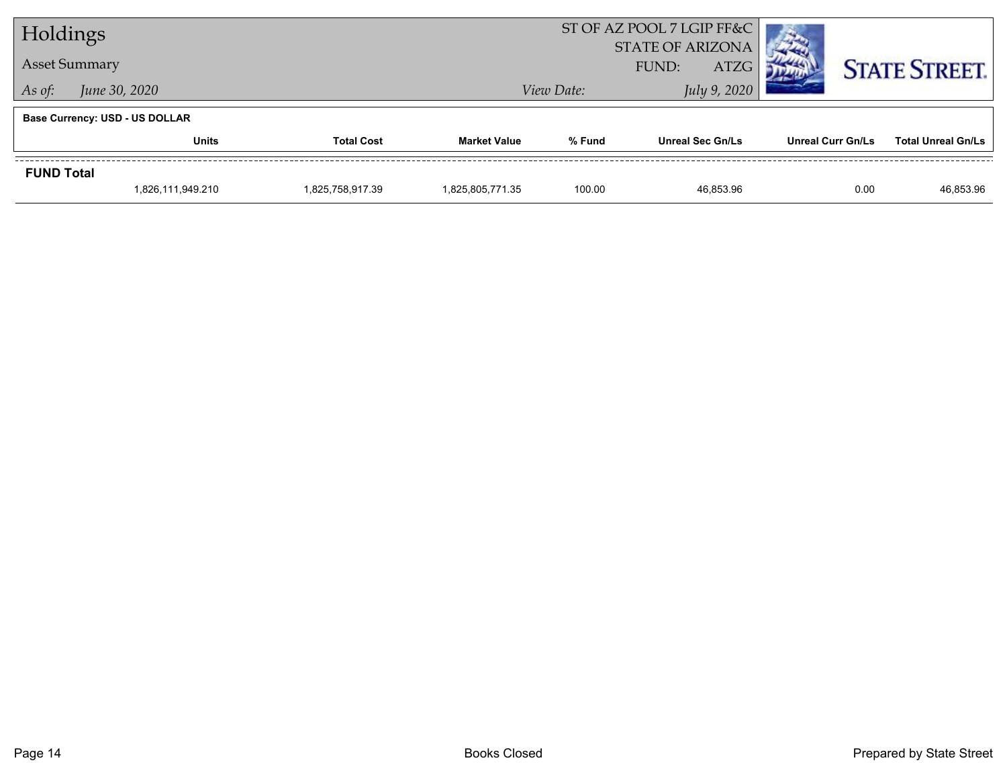| Holdings             |                                       |                  |                     | ST OF AZ POOL 7 LGIP FF&C<br><b>STATE OF ARIZONA</b> |                             |                          |                           |
|----------------------|---------------------------------------|------------------|---------------------|------------------------------------------------------|-----------------------------|--------------------------|---------------------------|
| <b>Asset Summary</b> |                                       |                  |                     |                                                      | <b>ATZG</b><br><b>FUND:</b> |                          | <b>STATE STREET.</b>      |
| As of:               | June 30, 2020                         |                  |                     | View Date:                                           |                             |                          |                           |
|                      | <b>Base Currency: USD - US DOLLAR</b> |                  |                     |                                                      |                             |                          |                           |
|                      | Units<br><b>Total Cost</b>            |                  | <b>Market Value</b> | % Fund                                               | <b>Unreal Sec Gn/Ls</b>     | <b>Unreal Curr Gn/Ls</b> | <b>Total Unreal Gn/Ls</b> |
| <b>FUND Total</b>    |                                       |                  |                     |                                                      |                             |                          |                           |
|                      | 1,826,111,949.210                     | 1,825,758,917.39 | 1,825,805,771.35    | 100.00                                               | 46.853.96                   | 0.00                     | 46,853.96                 |